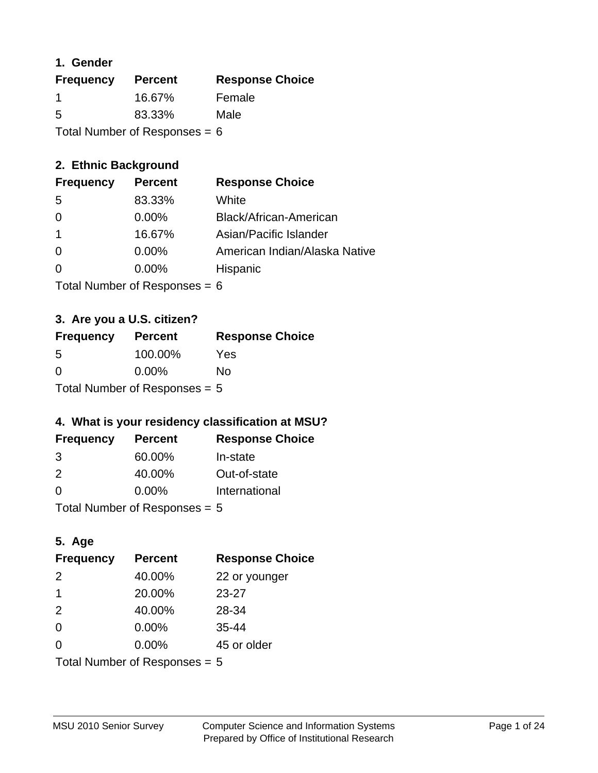## **1. Gender**

| <b>Frequency</b>                | <b>Percent</b> | <b>Response Choice</b> |
|---------------------------------|----------------|------------------------|
| -1                              | 16.67%         | Female                 |
| 5                               | 83.33%         | Male                   |
| Total Number of Responses = $6$ |                |                        |

## **2. Ethnic Background**

| <b>Frequency</b> | <b>Percent</b> | <b>Response Choice</b>        |
|------------------|----------------|-------------------------------|
| -5               | 83.33%         | White                         |
| 0                | $0.00\%$       | Black/African-American        |
|                  | 16.67%         | Asian/Pacific Islander        |
| $\Omega$         | 0.00%          | American Indian/Alaska Native |
|                  | $0.00\%$       | Hispanic                      |
|                  |                |                               |

Total Number of Responses = 6

## **3. Are you a U.S. citizen?**

| <b>Frequency</b>                | <b>Percent</b> | <b>Response Choice</b> |
|---------------------------------|----------------|------------------------|
| -5                              | 100.00%        | Yes                    |
| $\Omega$                        | $0.00\%$       | Nο                     |
| Total Number of Responses = $5$ |                |                        |

## **4. What is your residency classification at MSU?**

| <b>Frequency</b> | <b>Percent</b> | <b>Response Choice</b> |
|------------------|----------------|------------------------|
| 3                | 60.00%         | In-state               |
| $\mathcal{P}$    | 40.00%         | Out-of-state           |
| $\Omega$         | $0.00\%$       | International          |
|                  |                |                        |

Total Number of Responses = 5

## **5. Age**

| <b>Frequency</b>                | <b>Percent</b> | <b>Response Choice</b> |
|---------------------------------|----------------|------------------------|
| 2                               | 40.00%         | 22 or younger          |
| 1                               | 20.00%         | $23 - 27$              |
| 2                               | 40.00%         | 28-34                  |
| $\Omega$                        | 0.00%          | $35 - 44$              |
| 0                               | 0.00%          | 45 or older            |
| Total Number of Responses = $5$ |                |                        |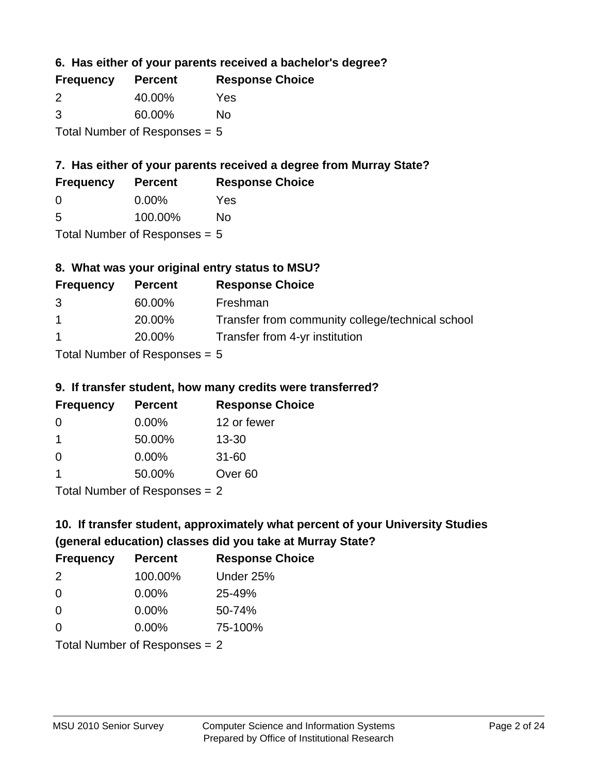**6. Has either of your parents received a bachelor's degree?**

| <b>Frequency</b>                | <b>Percent</b> | <b>Response Choice</b> |
|---------------------------------|----------------|------------------------|
| $\mathcal{P}$                   | 40.00%         | Yes                    |
| 3                               | 60.00%         | No                     |
| Total Number of Responses $= 5$ |                |                        |

## **7. Has either of your parents received a degree from Murray State?**

| <b>Frequency</b> | <b>Percent</b> | <b>Response Choice</b> |
|------------------|----------------|------------------------|
| <u>ึ</u> ೧       | $0.00\%$       | Yes                    |

| 5 | 100.00% | <b>No</b> |
|---|---------|-----------|

Total Number of Responses = 5

## **8. What was your original entry status to MSU?**

| <b>Frequency</b> | <b>Percent</b> | <b>Response Choice</b>                           |
|------------------|----------------|--------------------------------------------------|
| 3                | 60.00%         | Freshman                                         |
| $\overline{1}$   | 20.00%         | Transfer from community college/technical school |
| $\overline{1}$   | 20.00%         | Transfer from 4-yr institution                   |
|                  |                |                                                  |

Total Number of Responses = 5

#### **9. If transfer student, how many credits were transferred?**

| <b>Frequency</b>          | <b>Percent</b> | <b>Response Choice</b> |
|---------------------------|----------------|------------------------|
| -0                        | $0.00\%$       | 12 or fewer            |
| 1                         | 50.00%         | $13 - 30$              |
| 0                         | $0.00\%$       | $31 - 60$              |
|                           | 50.00%         | Over <sub>60</sub>     |
| Total Number of DoEROR 0. |                |                        |

Total Number of Responses = 2

# **10. If transfer student, approximately what percent of your University Studies (general education) classes did you take at Murray State?**

| <b>Frequency</b>                | <b>Percent</b> | <b>Response Choice</b> |
|---------------------------------|----------------|------------------------|
| 2                               | 100.00%        | Under 25%              |
| $\Omega$                        | $0.00\%$       | 25-49%                 |
| $\Omega$                        | $0.00\%$       | 50-74%                 |
| $\Omega$                        | 0.00%          | 75-100%                |
| Total Number of Responses $= 2$ |                |                        |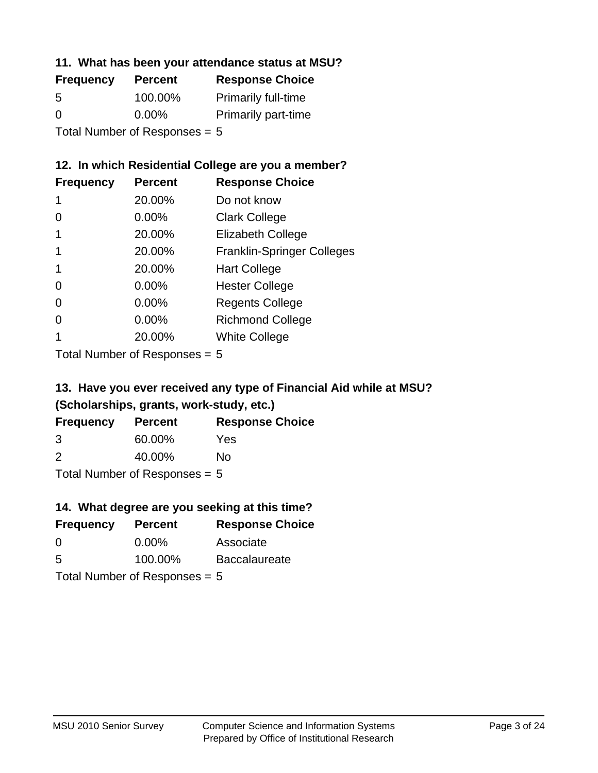#### **11. What has been your attendance status at MSU?**

| <b>Frequency</b>               | <b>Percent</b> | <b>Response Choice</b>     |
|--------------------------------|----------------|----------------------------|
| 5                              | 100.00%        | <b>Primarily full-time</b> |
| $\Omega$                       | $0.00\%$       | <b>Primarily part-time</b> |
| $Total Number of Dononono = 5$ |                |                            |

Total Number of Responses = 5

## **12. In which Residential College are you a member?**

| <b>Frequency</b> | <b>Percent</b> | <b>Response Choice</b>            |
|------------------|----------------|-----------------------------------|
| 1                | 20.00%         | Do not know                       |
| 0                | 0.00%          | <b>Clark College</b>              |
| 1                | 20.00%         | <b>Elizabeth College</b>          |
|                  | 20.00%         | <b>Franklin-Springer Colleges</b> |
|                  | 20.00%         | <b>Hart College</b>               |
| 0                | 0.00%          | <b>Hester College</b>             |
| 0                | 0.00%          | <b>Regents College</b>            |
| 0                | 0.00%          | <b>Richmond College</b>           |
|                  | 20.00%         | <b>White College</b>              |
|                  |                |                                   |

Total Number of Responses = 5

## **13. Have you ever received any type of Financial Aid while at MSU? (Scholarships, grants, work-study, etc.)**

| <b>Frequency</b>                | <b>Percent</b> | <b>Response Choice</b> |  |
|---------------------------------|----------------|------------------------|--|
| 3                               | 60.00%         | Yes                    |  |
| 2                               | 40.00%         | Nο                     |  |
| Total Number of Responses $= 5$ |                |                        |  |

**14. What degree are you seeking at this time?**

| <b>Frequency</b> | <b>Percent</b>                  | <b>Response Choice</b> |
|------------------|---------------------------------|------------------------|
| 0                | $0.00\%$                        | Associate              |
| 5                | 100.00%                         | <b>Baccalaureate</b>   |
|                  | Total Number of Responses $= 5$ |                        |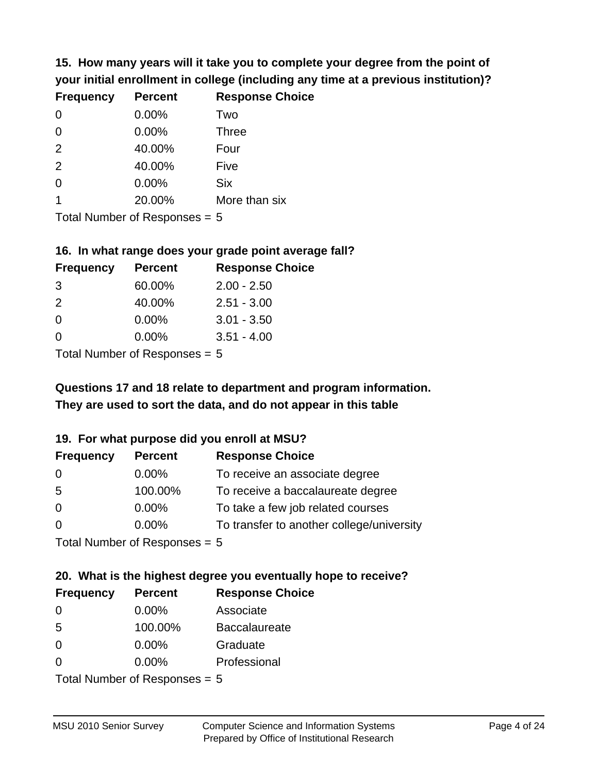**15. How many years will it take you to complete your degree from the point of your initial enrollment in college (including any time at a previous institution)?**

| <b>Frequency</b> | <b>Percent</b> | <b>Response Choice</b> |
|------------------|----------------|------------------------|
| $\Omega$         | 0.00%          | Two                    |
| $\Omega$         | 0.00%          | <b>Three</b>           |
| 2                | 40.00%         | Four                   |
| 2                | 40.00%         | Five                   |
| $\Omega$         | 0.00%          | <b>Six</b>             |
|                  | 20.00%         | More than six          |
|                  |                |                        |

Total Number of Responses = 5

#### **16. In what range does your grade point average fall?**

| <b>Frequency</b> | <b>Percent</b> | <b>Response Choice</b> |
|------------------|----------------|------------------------|
| -3               | 60.00%         | $2.00 - 2.50$          |
| $\mathcal{P}$    | 40.00%         | $2.51 - 3.00$          |
| 0                | 0.00%          | $3.01 - 3.50$          |
| 0                | 0.00%          | $3.51 - 4.00$          |
|                  |                |                        |

Total Number of Responses = 5

## **They are used to sort the data, and do not appear in this table Questions 17 and 18 relate to department and program information.**

#### **19. For what purpose did you enroll at MSU?**

| <b>Frequency</b>            | <b>Percent</b> | <b>Response Choice</b>                    |
|-----------------------------|----------------|-------------------------------------------|
| 0                           | $0.00\%$       | To receive an associate degree            |
| 5                           | 100.00%        | To receive a baccalaureate degree         |
| $\overline{0}$              | $0.00\%$       | To take a few job related courses         |
| $\Omega$                    | 0.00%          | To transfer to another college/university |
| Total Number of Desponses E |                |                                           |

I otal Number of Responses  $= 5$ 

# **20. What is the highest degree you eventually hope to receive?**

| <b>Frequency</b> | <b>Percent</b>                 | <b>Response Choice</b> |
|------------------|--------------------------------|------------------------|
| 0                | 0.00%                          | Associate              |
| 5                | 100.00%                        | <b>Baccalaureate</b>   |
| $\overline{0}$   | $0.00\%$                       | Graduate               |
| 0                | $0.00\%$                       | Professional           |
|                  | $Total Number of DoEROROR = 5$ |                        |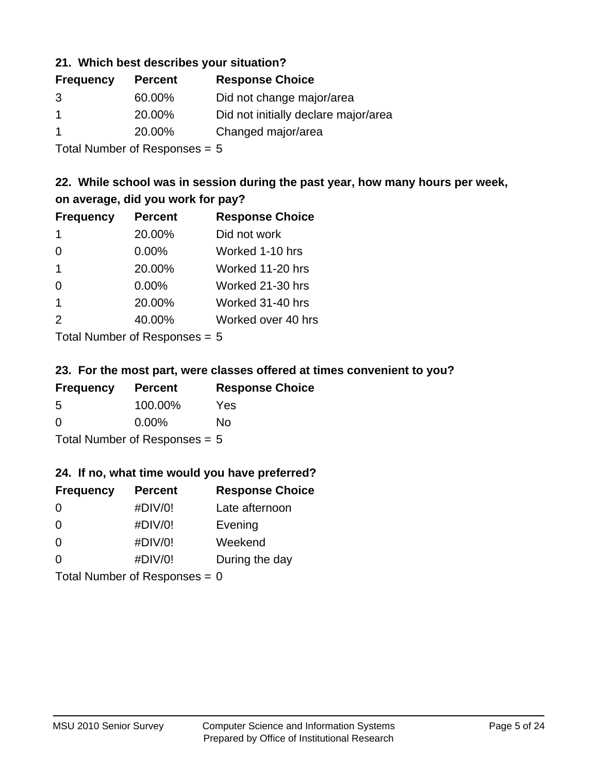#### **21. Which best describes your situation?**

| <b>Frequency</b> | <b>Percent</b> | <b>Response Choice</b>               |
|------------------|----------------|--------------------------------------|
| 3                | 60.00%         | Did not change major/area            |
|                  | 20.00%         | Did not initially declare major/area |
|                  | 20.00%         | Changed major/area                   |

Total Number of Responses = 5

## **22. While school was in session during the past year, how many hours per week, on average, did you work for pay?**

| <b>Frequency</b> | <b>Percent</b> | <b>Response Choice</b> |
|------------------|----------------|------------------------|
| -1               | 20.00%         | Did not work           |
| $\Omega$         | 0.00%          | Worked 1-10 hrs        |
| $\mathbf 1$      | 20.00%         | Worked 11-20 hrs       |
| $\Omega$         | 0.00%          | Worked 21-30 hrs       |
| -1               | 20.00%         | Worked 31-40 hrs       |
| 2                | 40.00%         | Worked over 40 hrs     |
|                  |                |                        |

Total Number of Responses = 5

#### **23. For the most part, were classes offered at times convenient to you?**

| <b>Frequency</b>                | <b>Percent</b> | <b>Response Choice</b> |
|---------------------------------|----------------|------------------------|
| .5                              | 100.00%        | Yes                    |
| $\Omega$                        | $0.00\%$       | Nο                     |
| Total Number of Responses = $5$ |                |                        |

#### **24. If no, what time would you have preferred?**

| <b>Frequency</b> | <b>Percent</b>                  | <b>Response Choice</b> |
|------------------|---------------------------------|------------------------|
| $\Omega$         | #DIV/0!                         | Late afternoon         |
| $\Omega$         | #DIV/0!                         | Evening                |
| $\Omega$         | #DIV/0!                         | Weekend                |
| $\Omega$         | #DIV/0!                         | During the day         |
|                  | Total Number of Responses = $0$ |                        |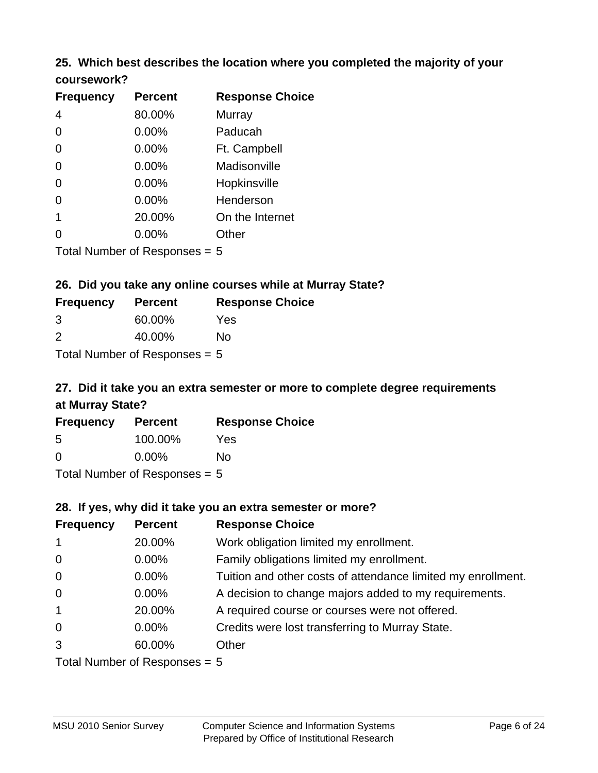#### **25. Which best describes the location where you completed the majority of your coursework?**

| <b>Frequency</b> | <b>Percent</b>            | <b>Response Choice</b> |
|------------------|---------------------------|------------------------|
| $\overline{4}$   | 80.00%                    | <b>Murray</b>          |
| $\Omega$         | 0.00%                     | Paducah                |
| $\Omega$         | 0.00%                     | Ft. Campbell           |
| $\Omega$         | 0.00%                     | Madisonville           |
| $\overline{0}$   | 0.00%                     | Hopkinsville           |
| 0                | 0.00%                     | Henderson              |
| 1                | 20.00%                    | On the Internet        |
| 0                | 0.00%                     | Other                  |
|                  | Total Number of Deepensee |                        |

Total Number of Responses = 5

#### **26. Did you take any online courses while at Murray State?**

| <b>Frequency</b>                | <b>Percent</b> | <b>Response Choice</b> |
|---------------------------------|----------------|------------------------|
| -3                              | 60.00%         | Yes                    |
| $\mathcal{P}$                   | 40.00%         | Nο                     |
| Total Number of Responses $= 5$ |                |                        |

# **27. Did it take you an extra semester or more to complete degree requirements at Murray State?**

| <b>Frequency</b> | <b>Percent</b>              | <b>Response Choice</b> |
|------------------|-----------------------------|------------------------|
| 5                | 100.00%                     | Yes                    |
| 0                | $0.00\%$                    | No                     |
|                  | Tatal Massakan af Dagmannar |                        |

Total Number of Responses = 5

#### **28. If yes, why did it take you an extra semester or more?**

| <b>Frequency</b>                | <b>Percent</b> | <b>Response Choice</b>                                       |
|---------------------------------|----------------|--------------------------------------------------------------|
| $\mathbf{1}$                    | 20.00%         | Work obligation limited my enrollment.                       |
| $\mathbf 0$                     | $0.00\%$       | Family obligations limited my enrollment.                    |
| $\mathbf 0$                     | $0.00\%$       | Tuition and other costs of attendance limited my enrollment. |
| $\mathbf 0$                     | $0.00\%$       | A decision to change majors added to my requirements.        |
| $\mathbf{1}$                    | 20.00%         | A required course or courses were not offered.               |
| $\mathbf 0$                     | $0.00\%$       | Credits were lost transferring to Murray State.              |
| 3                               | 60.00%         | Other                                                        |
| Total Number of Responses $= 5$ |                |                                                              |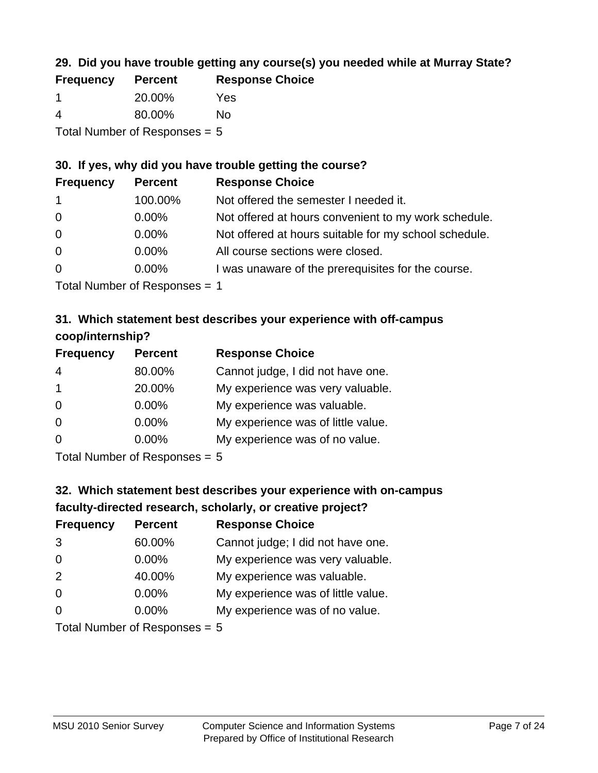## **29. Did you have trouble getting any course(s) you needed while at Murray State?**

| <b>Frequency</b>                | <b>Percent</b> | <b>Response Choice</b> |
|---------------------------------|----------------|------------------------|
|                                 | 20.00%         | Yes                    |
| 4                               | 80.00%         | Nο                     |
| Total Number of Responses $= 5$ |                |                        |

## **30. If yes, why did you have trouble getting the course?**

| <b>Frequency</b> | <b>Percent</b> | <b>Response Choice</b>                                |
|------------------|----------------|-------------------------------------------------------|
| $\mathbf{1}$     | 100.00%        | Not offered the semester I needed it.                 |
| $\overline{0}$   | $0.00\%$       | Not offered at hours convenient to my work schedule.  |
| $\overline{0}$   | $0.00\%$       | Not offered at hours suitable for my school schedule. |
| $\overline{0}$   | $0.00\%$       | All course sections were closed.                      |
| $\overline{0}$   | $0.00\%$       | I was unaware of the prerequisites for the course.    |
|                  |                |                                                       |

Total Number of Responses = 1

## **31. Which statement best describes your experience with off-campus coop/internship?**

| <b>Frequency</b> | <b>Percent</b>                                                                       | <b>Response Choice</b>             |
|------------------|--------------------------------------------------------------------------------------|------------------------------------|
| $\overline{4}$   | 80.00%                                                                               | Cannot judge, I did not have one.  |
| $\mathbf 1$      | 20.00%                                                                               | My experience was very valuable.   |
| $\Omega$         | $0.00\%$                                                                             | My experience was valuable.        |
| $\Omega$         | $0.00\%$                                                                             | My experience was of little value. |
| $\Omega$         | 0.00%                                                                                | My experience was of no value.     |
|                  | $T$ at all $\lambda$ become leave on $\lambda$ $\mathbf{D}$ and a second contract of |                                    |

Total Number of Responses = 5

# **32. Which statement best describes your experience with on-campus faculty-directed research, scholarly, or creative project?**

| <b>Frequency</b> | <b>Percent</b>              | <b>Response Choice</b>             |
|------------------|-----------------------------|------------------------------------|
| 3                | 60.00%                      | Cannot judge; I did not have one.  |
| $\overline{0}$   | 0.00%                       | My experience was very valuable.   |
| 2                | 40.00%                      | My experience was valuable.        |
| $\Omega$         | $0.00\%$                    | My experience was of little value. |
| $\Omega$         | $0.00\%$                    | My experience was of no value.     |
|                  | Total Number of Despanses E |                                    |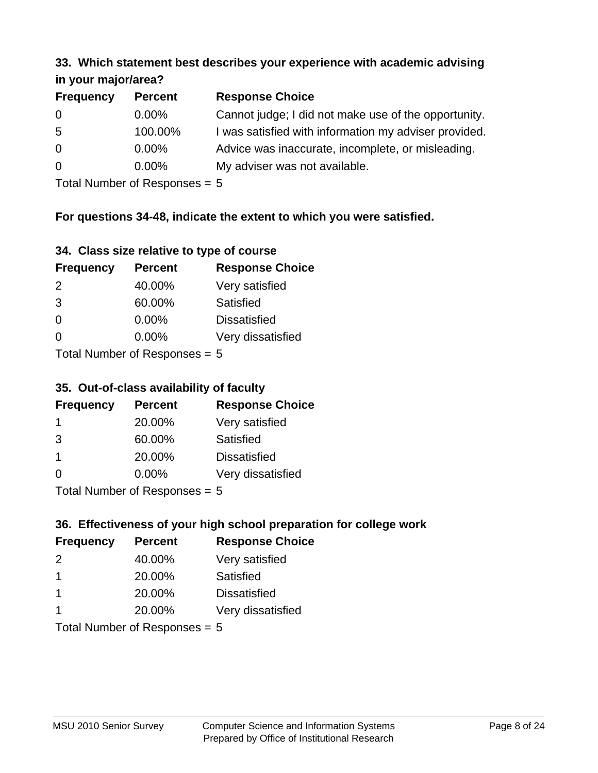#### **33. Which statement best describes your experience with academic advising in your major/area?**

| $\cdots$ your mapproved. |                |                                                       |
|--------------------------|----------------|-------------------------------------------------------|
| <b>Frequency</b>         | <b>Percent</b> | <b>Response Choice</b>                                |
| 0                        | $0.00\%$       | Cannot judge; I did not make use of the opportunity.  |
| 5                        | 100.00%        | I was satisfied with information my adviser provided. |
| $\overline{0}$           | $0.00\%$       | Advice was inaccurate, incomplete, or misleading.     |
| $\overline{0}$           | 0.00%          | My adviser was not available.                         |
|                          |                |                                                       |

Total Number of Responses = 5

## **For questions 34-48, indicate the extent to which you were satisfied.**

| 34. Class size relative to type of course |
|-------------------------------------------|
|-------------------------------------------|

| <b>Frequency</b>              | <b>Percent</b> | <b>Response Choice</b> |  |
|-------------------------------|----------------|------------------------|--|
| $\mathcal{P}$                 | 40.00%         | Very satisfied         |  |
| 3                             | 60.00%         | <b>Satisfied</b>       |  |
| $\Omega$                      | $0.00\%$       | <b>Dissatisfied</b>    |  |
| ∩                             | $0.00\%$       | Very dissatisfied      |  |
| $Total Number of Denonce - E$ |                |                        |  |

Total Number of Responses = 5

## **35. Out-of-class availability of faculty**

| <b>Frequency</b>           | <b>Percent</b> | <b>Response Choice</b> |
|----------------------------|----------------|------------------------|
|                            | 20.00%         | Very satisfied         |
| 3                          | 60.00%         | Satisfied              |
| $\mathbf 1$                | 20.00%         | <b>Dissatisfied</b>    |
| $\Omega$                   | $0.00\%$       | Very dissatisfied      |
| Tatal Number of Desperance |                |                        |

Total Number of Responses = 5

## **36. Effectiveness of your high school preparation for college work**

| <b>Frequency</b> | <b>Percent</b>             | <b>Response Choice</b> |
|------------------|----------------------------|------------------------|
| 2                | 40.00%                     | Very satisfied         |
| -1               | 20.00%                     | Satisfied              |
| $\mathbf 1$      | 20.00%                     | <b>Dissatisfied</b>    |
|                  | 20.00%                     | Very dissatisfied      |
|                  | Total Number of Decononces |                        |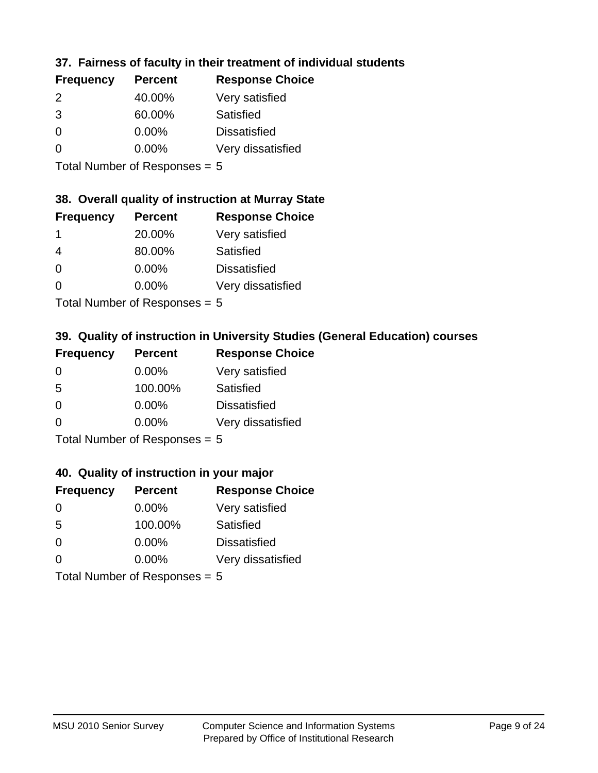## **37. Fairness of faculty in their treatment of individual students**

| <b>Frequency</b> | <b>Percent</b> | <b>Response Choice</b> |
|------------------|----------------|------------------------|
| 2                | 40.00%         | Very satisfied         |
| 3                | 60.00%         | Satisfied              |
| $\Omega$         | 0.00%          | <b>Dissatisfied</b>    |
| $\Omega$         | $0.00\%$       | Very dissatisfied      |
|                  |                |                        |

Total Number of Responses = 5

#### **38. Overall quality of instruction at Murray State**

| <b>Frequency</b> | <b>Percent</b>                        | <b>Response Choice</b> |
|------------------|---------------------------------------|------------------------|
| -1               | 20.00%                                | Very satisfied         |
| 4                | 80.00%                                | Satisfied              |
| $\Omega$         | 0.00%                                 | <b>Dissatisfied</b>    |
| $\Omega$         | 0.00%                                 | Very dissatisfied      |
|                  | The HI district of Production and the |                        |

Total Number of Responses = 5

## **39. Quality of instruction in University Studies (General Education) courses**

| <b>Frequency</b> | <b>Percent</b>            | <b>Response Choice</b> |
|------------------|---------------------------|------------------------|
| $\Omega$         | $0.00\%$                  | Very satisfied         |
| 5                | 100.00%                   | Satisfied              |
| $\Omega$         | 0.00%                     | <b>Dissatisfied</b>    |
| $\Omega$         | 0.00%                     | Very dissatisfied      |
|                  | Total Number of Deepensee |                        |

I otal Number of Responses  $= 5$ 

#### **40. Quality of instruction in your major**

| <b>Frequency</b>                | <b>Percent</b> | <b>Response Choice</b> |
|---------------------------------|----------------|------------------------|
| $\Omega$                        | $0.00\%$       | Very satisfied         |
| 5                               | 100.00%        | Satisfied              |
| $\Omega$                        | $0.00\%$       | <b>Dissatisfied</b>    |
| $\Omega$                        | $0.00\%$       | Very dissatisfied      |
| Total Number of Responses = $5$ |                |                        |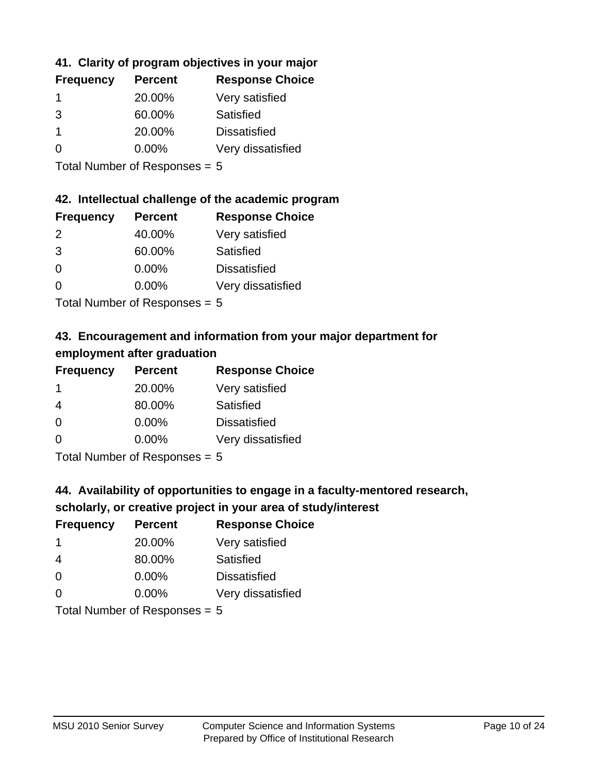## **41. Clarity of program objectives in your major**

| <b>Frequency</b> | <b>Percent</b> | <b>Response Choice</b> |
|------------------|----------------|------------------------|
|                  | 20.00%         | Very satisfied         |
| 3                | 60.00%         | Satisfied              |
|                  | 20.00%         | <b>Dissatisfied</b>    |
| ∩                | $0.00\%$       | Very dissatisfied      |
|                  |                |                        |

Total Number of Responses = 5

#### **42. Intellectual challenge of the academic program**

| <b>Frequency</b> | <b>Percent</b> | <b>Response Choice</b> |
|------------------|----------------|------------------------|
| 2                | 40.00%         | Very satisfied         |
| 3                | 60.00%         | Satisfied              |
| $\Omega$         | 0.00%          | <b>Dissatisfied</b>    |
| $\Omega$         | 0.00%          | Very dissatisfied      |
|                  |                |                        |

Total Number of Responses = 5

## **43. Encouragement and information from your major department for employment after graduation**

| <b>Frequency</b> | <b>Percent</b>                                                     | <b>Response Choice</b> |
|------------------|--------------------------------------------------------------------|------------------------|
| 1                | 20.00%                                                             | Very satisfied         |
| $\overline{4}$   | 80.00%                                                             | Satisfied              |
| 0                | $0.00\%$                                                           | <b>Dissatisfied</b>    |
| $\Omega$         | 0.00%                                                              | Very dissatisfied      |
|                  | $T$ at all Message and $R$ $\sim$ and $\sim$ and $\sim$ and $\sim$ |                        |

Total Number of Responses = 5

## **44. Availability of opportunities to engage in a faculty-mentored research,**

## **scholarly, or creative project in your area of study/interest**

| <b>Frequency</b> | <b>Percent</b> | <b>Response Choice</b> |
|------------------|----------------|------------------------|
|                  | 20.00%         | Very satisfied         |
| 4                | 80.00%         | Satisfied              |
| $\Omega$         | 0.00%          | <b>Dissatisfied</b>    |
| $\Omega$         | 0.00%          | Very dissatisfied      |
|                  |                |                        |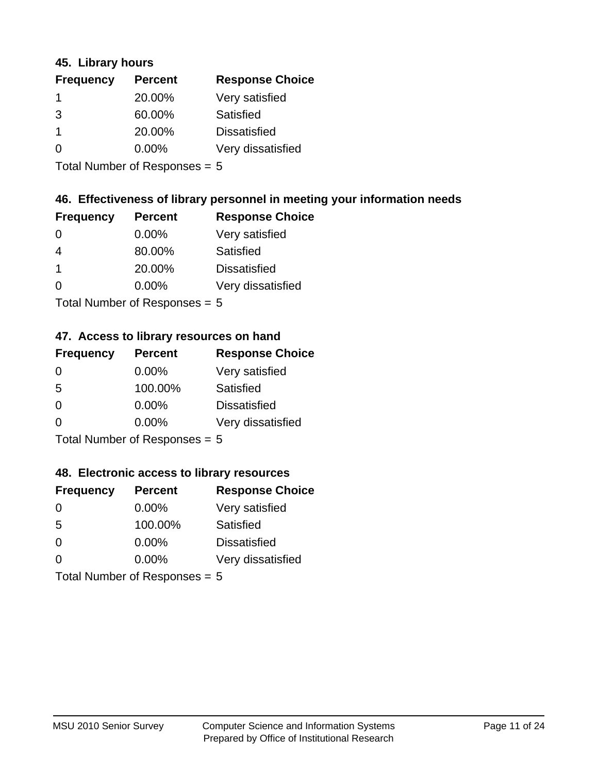#### **45. Library hours**

| <b>Frequency</b> | <b>Percent</b> | <b>Response Choice</b> |
|------------------|----------------|------------------------|
|                  | 20.00%         | Very satisfied         |
| 3                | 60.00%         | Satisfied              |
|                  | 20.00%         | <b>Dissatisfied</b>    |
| $\Omega$         | 0.00%          | Very dissatisfied      |
|                  |                |                        |

Total Number of Responses = 5

#### **46. Effectiveness of library personnel in meeting your information needs**

| <b>Frequency</b> | <b>Percent</b> | <b>Response Choice</b> |
|------------------|----------------|------------------------|
| 0                | $0.00\%$       | Very satisfied         |
| 4                | 80.00%         | Satisfied              |
|                  | 20.00%         | <b>Dissatisfied</b>    |
| ∩                | $0.00\%$       | Very dissatisfied      |
|                  |                |                        |

Total Number of Responses = 5

#### **47. Access to library resources on hand**

| <b>Frequency</b>                | <b>Percent</b> | <b>Response Choice</b> |
|---------------------------------|----------------|------------------------|
| $\Omega$                        | $0.00\%$       | Very satisfied         |
| 5                               | 100.00%        | Satisfied              |
| $\Omega$                        | $0.00\%$       | <b>Dissatisfied</b>    |
| $\Omega$                        | $0.00\%$       | Very dissatisfied      |
| Total Number of Responses = $5$ |                |                        |

**48. Electronic access to library resources**

| <b>Frequency</b> | <b>Percent</b>                  | <b>Response Choice</b> |
|------------------|---------------------------------|------------------------|
| $\Omega$         | 0.00%                           | Very satisfied         |
| 5                | 100.00%                         | <b>Satisfied</b>       |
| $\Omega$         | $0.00\%$                        | <b>Dissatisfied</b>    |
| $\Omega$         | $0.00\%$                        | Very dissatisfied      |
|                  | Total Number of Responses = $5$ |                        |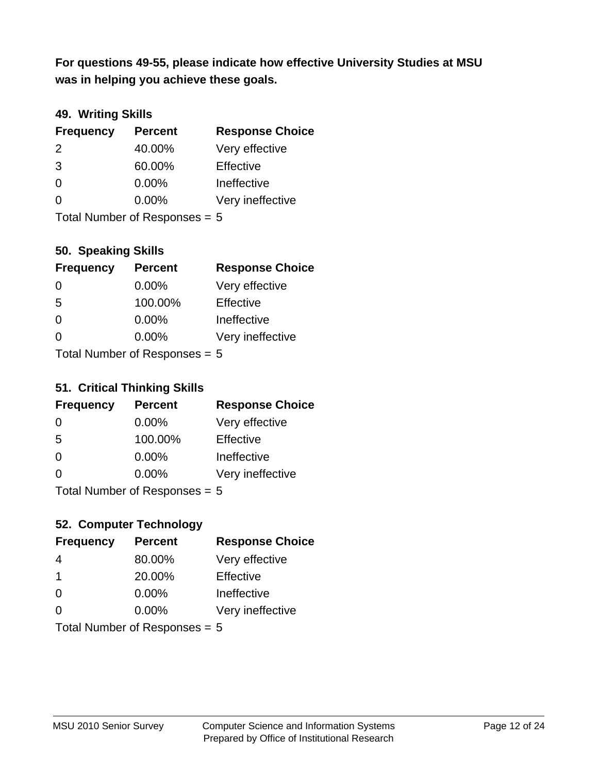**was in helping you achieve these goals. For questions 49-55, please indicate how effective University Studies at MSU** 

## **49. Writing Skills**

| <b>Frequency</b>                | <b>Percent</b> | <b>Response Choice</b> |
|---------------------------------|----------------|------------------------|
| $\mathcal{P}$                   | 40.00%         | Very effective         |
| 3                               | 60.00%         | Effective              |
| $\Omega$                        | $0.00\%$       | Ineffective            |
| $\Omega$                        | $0.00\%$       | Very ineffective       |
| Total Number of Responses = $5$ |                |                        |

**50. Speaking Skills**

| <b>Frequency</b> | <b>Percent</b>                  | <b>Response Choice</b> |
|------------------|---------------------------------|------------------------|
| $\Omega$         | $0.00\%$                        | Very effective         |
| 5                | 100.00%                         | Effective              |
| $\Omega$         | 0.00%                           | Ineffective            |
| 0                | 0.00%                           | Very ineffective       |
|                  | $Total$ Number of Despanses $-$ |                        |

Total Number of Responses = 5

#### **51. Critical Thinking Skills**

| <b>Frequency</b> | <b>Percent</b>            | <b>Response Choice</b> |
|------------------|---------------------------|------------------------|
| $\Omega$         | $0.00\%$                  | Very effective         |
| -5               | 100.00%                   | Effective              |
| $\Omega$         | 0.00%                     | Ineffective            |
| $\Omega$         | 0.00%                     | Very ineffective       |
|                  | Total Number of Deepensee |                        |

Total Number of Responses = 5

## **52. Computer Technology**

| <b>Frequency</b>                | <b>Percent</b> | <b>Response Choice</b> |
|---------------------------------|----------------|------------------------|
| 4                               | 80.00%         | Very effective         |
| $\mathbf 1$                     | 20.00%         | Effective              |
| $\Omega$                        | $0.00\%$       | Ineffective            |
| $\Omega$                        | $0.00\%$       | Very ineffective       |
| Total Number of Responses = $5$ |                |                        |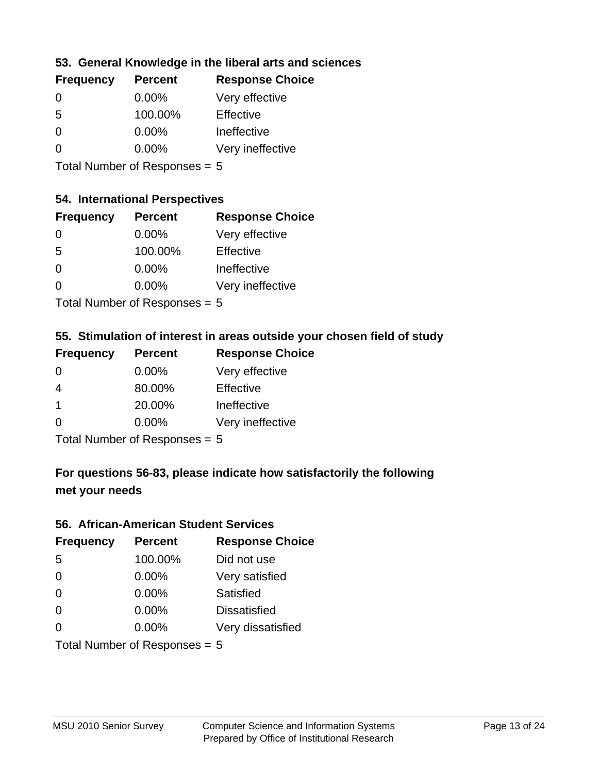## **53. General Knowledge in the liberal arts and sciences**

| <b>Frequency</b> | <b>Percent</b> | <b>Response Choice</b> |
|------------------|----------------|------------------------|
| $\Omega$         | $0.00\%$       | Very effective         |
| 5                | 100.00%        | Effective              |
| $\Omega$         | 0.00%          | Ineffective            |
| $\Omega$         | 0.00%          | Very ineffective       |
|                  |                |                        |

Total Number of Responses = 5

## **54. International Perspectives**

| <b>Frequency</b> | <b>Percent</b> | <b>Response Choice</b> |
|------------------|----------------|------------------------|
| $\Omega$         | 0.00%          | Very effective         |
| -5               | 100.00%        | Effective              |
| $\Omega$         | 0.00%          | Ineffective            |
| 0                | 0.00%          | Very ineffective       |
|                  |                |                        |

Total Number of Responses = 5

## **55. Stimulation of interest in areas outside your chosen field of study**

| <b>Frequency</b>                | <b>Percent</b> | <b>Response Choice</b> |
|---------------------------------|----------------|------------------------|
| $\Omega$                        | 0.00%          | Very effective         |
| 4                               | 80.00%         | Effective              |
| $\overline{\mathbf{1}}$         | 20.00%         | Ineffective            |
| $\Omega$                        | $0.00\%$       | Very ineffective       |
| Total Number of Responses = $5$ |                |                        |

## **For questions 56-83, please indicate how satisfactorily the following met your needs**

#### **56. African-American Student Services**

| <b>Frequency</b> | <b>Percent</b>                  | <b>Response Choice</b> |
|------------------|---------------------------------|------------------------|
| 5                | 100.00%                         | Did not use            |
| $\Omega$         | 0.00%                           | Very satisfied         |
| $\Omega$         | 0.00%                           | Satisfied              |
| $\Omega$         | $0.00\%$                        | <b>Dissatisfied</b>    |
| $\Omega$         | 0.00%                           | Very dissatisfied      |
|                  | Total Number of Responses = $5$ |                        |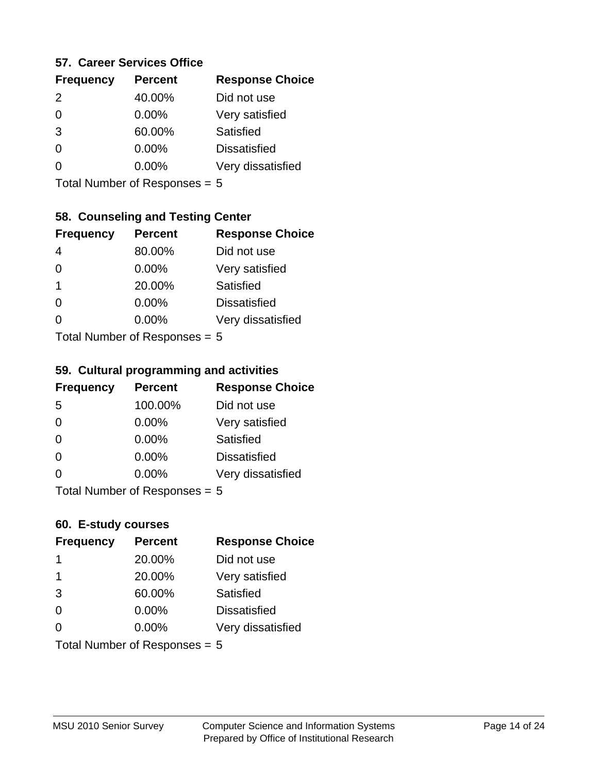#### **57. Career Services Office**

| <b>Frequency</b> | <b>Percent</b> | <b>Response Choice</b> |
|------------------|----------------|------------------------|
| $\mathcal{P}$    | 40.00%         | Did not use            |
|                  | $0.00\%$       | Very satisfied         |
| 3                | 60.00%         | <b>Satisfied</b>       |
|                  | $0.00\%$       | <b>Dissatisfied</b>    |
|                  | $0.00\%$       | Very dissatisfied      |
|                  |                |                        |

Total Number of Responses = 5

## **58. Counseling and Testing Center**

| <b>Frequency</b>          | <b>Percent</b> | <b>Response Choice</b> |
|---------------------------|----------------|------------------------|
|                           | 80.00%         | Did not use            |
| $\Omega$                  | 0.00%          | Very satisfied         |
| 1                         | 20.00%         | <b>Satisfied</b>       |
| 0                         | 0.00%          | <b>Dissatisfied</b>    |
| ∩                         | 0.00%          | Very dissatisfied      |
| Total Number of Desponses |                |                        |

Total Number of Responses = 5

#### **59. Cultural programming and activities**

| <b>Frequency</b> | <b>Percent</b>            | <b>Response Choice</b> |
|------------------|---------------------------|------------------------|
| 5                | 100.00%                   | Did not use            |
| $\Omega$         | $0.00\%$                  | Very satisfied         |
| $\Omega$         | $0.00\%$                  | Satisfied              |
| $\Omega$         | 0.00%                     | <b>Dissatisfied</b>    |
| $\Omega$         | 0.00%                     | Very dissatisfied      |
|                  | Total Number of DoEROR 0. |                        |

I otal Number of Responses  $= 5$ 

#### **60. E-study courses**

| <b>Frequency</b>              | <b>Percent</b> | <b>Response Choice</b> |
|-------------------------------|----------------|------------------------|
| 1                             | 20.00%         | Did not use            |
| $\mathbf 1$                   | 20.00%         | Very satisfied         |
| 3                             | 60.00%         | Satisfied              |
| $\Omega$                      | $0.00\%$       | <b>Dissatisfied</b>    |
| $\Omega$                      | $0.00\%$       | Very dissatisfied      |
| Total Number of Responses = 5 |                |                        |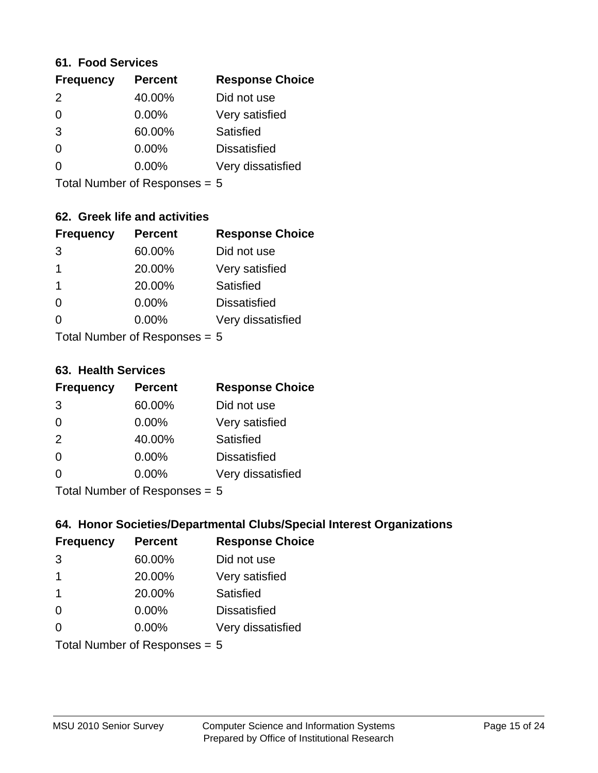#### **61. Food Services**

| <b>Frequency</b> | <b>Percent</b> | <b>Response Choice</b> |
|------------------|----------------|------------------------|
| $\mathcal{P}$    | 40.00%         | Did not use            |
| $\Omega$         | $0.00\%$       | Very satisfied         |
| 3                | 60.00%         | Satisfied              |
| 0                | 0.00%          | <b>Dissatisfied</b>    |
| O                | $0.00\%$       | Very dissatisfied      |
|                  |                |                        |

Total Number of Responses = 5

## **62. Greek life and activities**

| <b>Frequency</b> | <b>Percent</b>             | <b>Response Choice</b> |
|------------------|----------------------------|------------------------|
| 3                | 60.00%                     | Did not use            |
| 1                | 20.00%                     | Very satisfied         |
| 1                | 20.00%                     | Satisfied              |
| 0                | 0.00%                      | <b>Dissatisfied</b>    |
|                  | 0.00%                      | Very dissatisfied      |
|                  | Total Number of Decononces |                        |

I otal Number of Responses = 5

#### **63. Health Services**

| <b>Frequency</b> | <b>Percent</b>             | <b>Response Choice</b> |
|------------------|----------------------------|------------------------|
| 3                | 60.00%                     | Did not use            |
| $\Omega$         | 0.00%                      | Very satisfied         |
| 2                | 40.00%                     | <b>Satisfied</b>       |
| $\Omega$         | 0.00%                      | <b>Dissatisfied</b>    |
| $\Omega$         | 0.00%                      | Very dissatisfied      |
|                  | Total Number of Deepersoon |                        |

Total Number of Responses = 5

## **64. Honor Societies/Departmental Clubs/Special Interest Organizations**

| <b>Frequency</b> | <b>Percent</b>                | <b>Response Choice</b> |
|------------------|-------------------------------|------------------------|
| 3                | 60.00%                        | Did not use            |
| $\overline{1}$   | 20.00%                        | Very satisfied         |
| -1               | 20.00%                        | Satisfied              |
| $\Omega$         | 0.00%                         | <b>Dissatisfied</b>    |
| $\Omega$         | 0.00%                         | Very dissatisfied      |
|                  | Total Number of Responses = 5 |                        |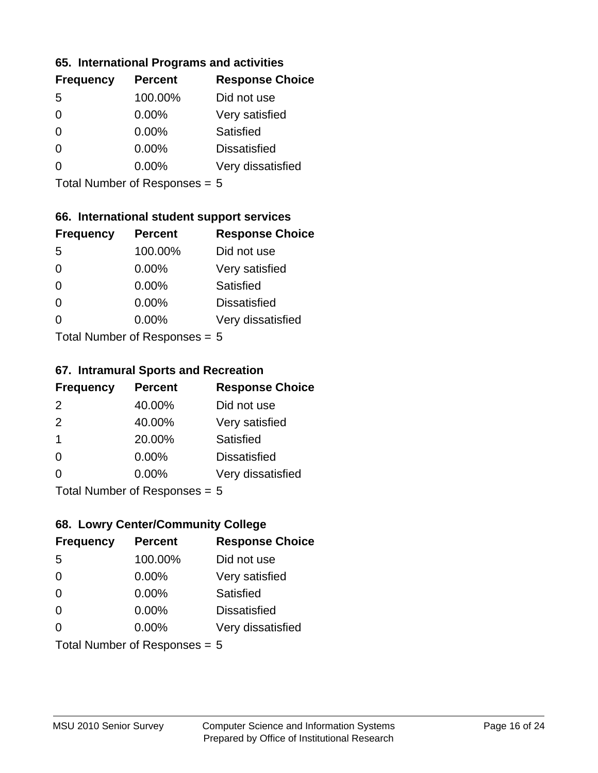#### **65. International Programs and activities**

| <b>Frequency</b> | <b>Percent</b> | <b>Response Choice</b> |
|------------------|----------------|------------------------|
| .5               | 100.00%        | Did not use            |
| 0                | 0.00%          | Very satisfied         |
| 0                | $0.00\%$       | Satisfied              |
| O                | $0.00\%$       | <b>Dissatisfied</b>    |
|                  | $0.00\%$       | Very dissatisfied      |
|                  |                |                        |

Total Number of Responses = 5

## **66. International student support services**

| <b>Frequency</b>          | <b>Percent</b> | <b>Response Choice</b> |
|---------------------------|----------------|------------------------|
| 5                         | 100.00%        | Did not use            |
| 0                         | $0.00\%$       | Very satisfied         |
| $\Omega$                  | $0.00\%$       | Satisfied              |
| $\Omega$                  | 0.00%          | <b>Dissatisfied</b>    |
| 0                         | 0.00%          | Very dissatisfied      |
| Total Number of Desponses |                |                        |

Total Number of Responses = 5

#### **67. Intramural Sports and Recreation**

| <b>Frequency</b> | <b>Percent</b>            | <b>Response Choice</b> |
|------------------|---------------------------|------------------------|
| 2                | 40.00%                    | Did not use            |
| 2                | 40.00%                    | Very satisfied         |
| -1               | 20.00%                    | Satisfied              |
| $\Omega$         | 0.00%                     | <b>Dissatisfied</b>    |
| $\Omega$         | 0.00%                     | Very dissatisfied      |
|                  | Total Number of DoEROR 0. |                        |

I otal Number of Responses  $= 5$ 

## **68. Lowry Center/Community College**

| <b>Frequency</b> | <b>Percent</b>                | <b>Response Choice</b> |
|------------------|-------------------------------|------------------------|
| 5                | 100.00%                       | Did not use            |
| $\Omega$         | 0.00%                         | Very satisfied         |
| $\Omega$         | 0.00%                         | Satisfied              |
| $\Omega$         | $0.00\%$                      | <b>Dissatisfied</b>    |
| $\Omega$         | $0.00\%$                      | Very dissatisfied      |
|                  | Total Number of Responses = 5 |                        |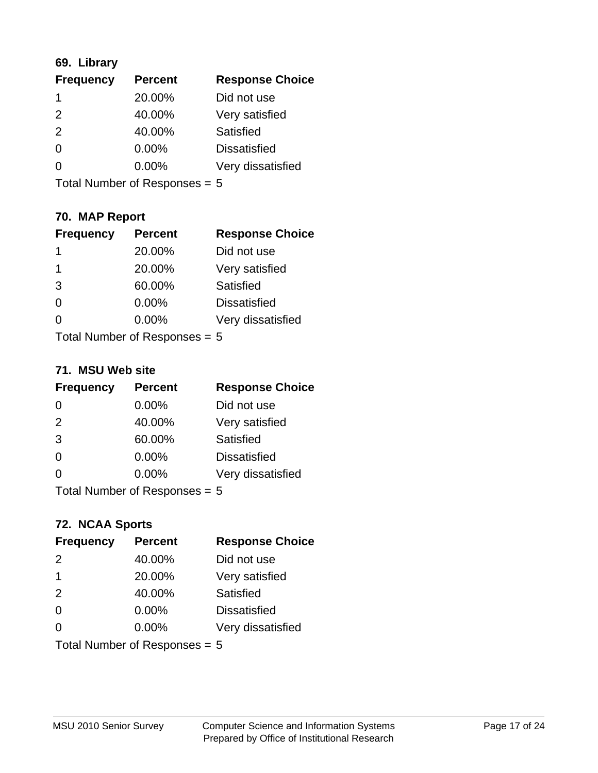## **69. Library**

| <b>Frequency</b> | <b>Percent</b> | <b>Response Choice</b> |
|------------------|----------------|------------------------|
|                  | 20.00%         | Did not use            |
| $\mathcal{P}$    | 40.00%         | Very satisfied         |
| $\mathcal{P}$    | 40.00%         | Satisfied              |
| $\Omega$         | $0.00\%$       | <b>Dissatisfied</b>    |
| O                | $0.00\%$       | Very dissatisfied      |
|                  |                |                        |

Total Number of Responses = 5

## **70. MAP Report**

| <b>Frequency</b>                | <b>Percent</b> | <b>Response Choice</b> |
|---------------------------------|----------------|------------------------|
| 1                               | 20.00%         | Did not use            |
| 1                               | 20.00%         | Very satisfied         |
| 3                               | 60.00%         | Satisfied              |
| $\Omega$                        | 0.00%          | <b>Dissatisfied</b>    |
| 0                               | 0.00%          | Very dissatisfied      |
| Total Number of Responses $= 5$ |                |                        |

#### **71. MSU Web site**

| <b>Frequency</b> | <b>Percent</b>                  | <b>Response Choice</b> |
|------------------|---------------------------------|------------------------|
| $\Omega$         | 0.00%                           | Did not use            |
| 2                | 40.00%                          | Very satisfied         |
| 3                | 60.00%                          | Satisfied              |
| $\Omega$         | 0.00%                           | <b>Dissatisfied</b>    |
| $\Omega$         | 0.00%                           | Very dissatisfied      |
|                  | Total Number of Responses = $5$ |                        |

## **72. NCAA Sports**

| <b>Frequency</b> | <b>Percent</b>                  | <b>Response Choice</b> |
|------------------|---------------------------------|------------------------|
| 2                | 40.00%                          | Did not use            |
| $\overline{1}$   | 20.00%                          | Very satisfied         |
| 2                | 40.00%                          | Satisfied              |
| 0                | 0.00%                           | <b>Dissatisfied</b>    |
| $\Omega$         | 0.00%                           | Very dissatisfied      |
|                  | Total Number of Responses = $5$ |                        |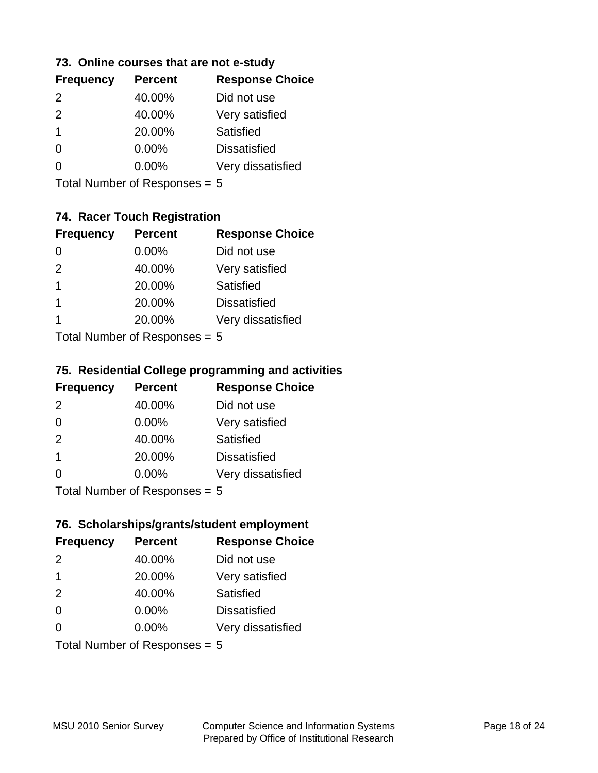#### **73. Online courses that are not e-study**

| <b>Frequency</b> | <b>Percent</b> | <b>Response Choice</b> |
|------------------|----------------|------------------------|
| $\mathcal{P}$    | 40.00%         | Did not use            |
| $\mathcal{P}$    | 40.00%         | Very satisfied         |
| 1                | 20.00%         | Satisfied              |
|                  | $0.00\%$       | <b>Dissatisfied</b>    |
|                  | $0.00\%$       | Very dissatisfied      |
|                  |                |                        |

Total Number of Responses = 5

## **74. Racer Touch Registration**

| <b>Frequency</b>          | <b>Percent</b> | <b>Response Choice</b> |
|---------------------------|----------------|------------------------|
| 0                         | 0.00%          | Did not use            |
| 2                         | 40.00%         | Very satisfied         |
| 1                         | 20.00%         | Satisfied              |
| 1                         | 20.00%         | <b>Dissatisfied</b>    |
|                           | 20.00%         | Very dissatisfied      |
| Tatal Number of Despenses |                |                        |

Total Number of Responses = 5

#### **75. Residential College programming and activities**

| <b>Frequency</b>            | <b>Percent</b> | <b>Response Choice</b> |
|-----------------------------|----------------|------------------------|
| 2                           | 40.00%         | Did not use            |
| $\Omega$                    | 0.00%          | Very satisfied         |
| 2                           | 40.00%         | Satisfied              |
| -1                          | 20.00%         | <b>Dissatisfied</b>    |
| $\Omega$                    | 0.00%          | Very dissatisfied      |
| Total Number of Despanses E |                |                        |

Total Number of Responses = 5

#### **76. Scholarships/grants/student employment**

| <b>Frequency</b> | <b>Percent</b>                | <b>Response Choice</b> |
|------------------|-------------------------------|------------------------|
| $\mathcal{P}$    | 40.00%                        | Did not use            |
| $\mathbf 1$      | 20.00%                        | Very satisfied         |
| 2                | 40.00%                        | Satisfied              |
| $\Omega$         | 0.00%                         | <b>Dissatisfied</b>    |
| $\Omega$         | $0.00\%$                      | Very dissatisfied      |
|                  | Total Number of Responses = 5 |                        |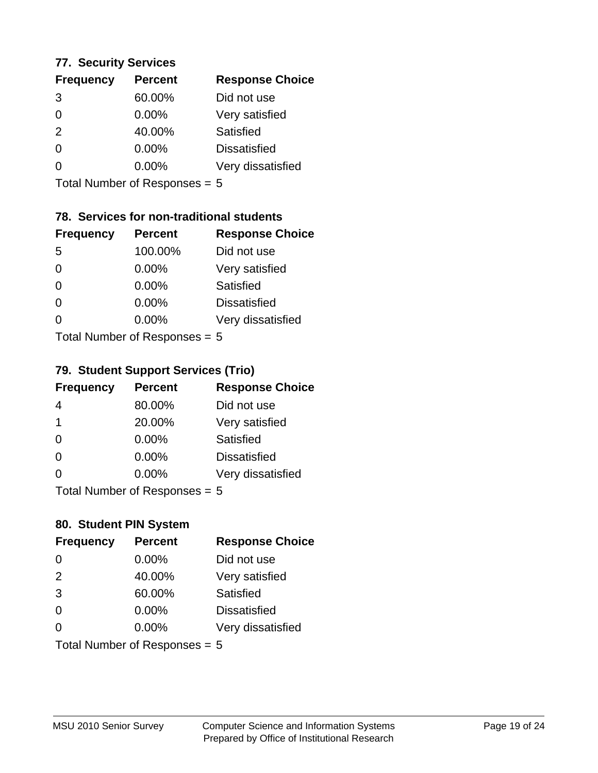#### **77. Security Services**

| <b>Frequency</b> | <b>Percent</b> | <b>Response Choice</b> |
|------------------|----------------|------------------------|
| 3                | 60.00%         | Did not use            |
| 0                | $0.00\%$       | Very satisfied         |
| 2                | 40.00%         | Satisfied              |
| 0                | $0.00\%$       | <b>Dissatisfied</b>    |
|                  | $0.00\%$       | Very dissatisfied      |
|                  |                |                        |

Total Number of Responses = 5

## **78. Services for non-traditional students**

| <b>Frequency</b>          | <b>Percent</b> | <b>Response Choice</b> |
|---------------------------|----------------|------------------------|
| -5                        | 100.00%        | Did not use            |
| 0                         | $0.00\%$       | Very satisfied         |
| $\Omega$                  | $0.00\%$       | <b>Satisfied</b>       |
| $\Omega$                  | 0.00%          | <b>Dissatisfied</b>    |
| 0                         | 0.00%          | Very dissatisfied      |
| Total Number of Desponses |                |                        |

Total Number of Responses = 5

#### **79. Student Support Services (Trio)**

| <b>Frequency</b>          | <b>Percent</b> | <b>Response Choice</b> |
|---------------------------|----------------|------------------------|
| 4                         | 80.00%         | Did not use            |
| $\mathbf 1$               | 20.00%         | Very satisfied         |
| $\Omega$                  | $0.00\%$       | Satisfied              |
| $\Omega$                  | $0.00\%$       | <b>Dissatisfied</b>    |
| 0                         | 0.00%          | Very dissatisfied      |
| Total Number of Desponses |                |                        |

Total Number of Responses = 5

#### **80. Student PIN System**

| <b>Frequency</b>              | <b>Percent</b> | <b>Response Choice</b> |
|-------------------------------|----------------|------------------------|
| 0                             | 0.00%          | Did not use            |
| 2                             | 40.00%         | Very satisfied         |
| 3                             | 60.00%         | Satisfied              |
| $\Omega$                      | 0.00%          | <b>Dissatisfied</b>    |
| 0                             | $0.00\%$       | Very dissatisfied      |
| Total Number of Responses = 5 |                |                        |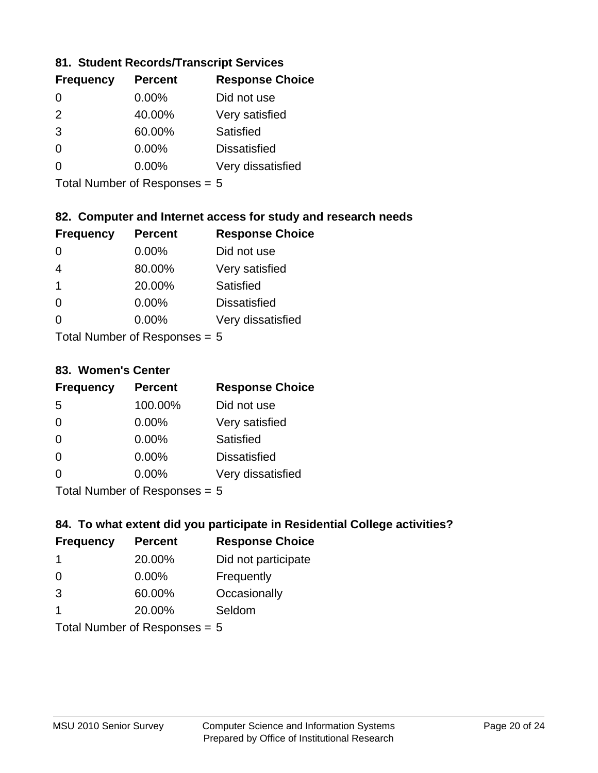## **81. Student Records/Transcript Services**

| <b>Percent</b> | <b>Response Choice</b> |
|----------------|------------------------|
| 0.00%          | Did not use            |
| 40.00%         | Very satisfied         |
| 60.00%         | Satisfied              |
| 0.00%          | <b>Dissatisfied</b>    |
| $0.00\%$       | Very dissatisfied      |
|                |                        |

Total Number of Responses = 5

## **82. Computer and Internet access for study and research needs**

| <b>Frequency</b> | <b>Percent</b>                                                     | <b>Response Choice</b> |
|------------------|--------------------------------------------------------------------|------------------------|
| 0                | 0.00%                                                              | Did not use            |
| 4                | 80.00%                                                             | Very satisfied         |
| $\overline{1}$   | 20.00%                                                             | Satisfied              |
| $\Omega$         | 0.00%                                                              | <b>Dissatisfied</b>    |
| $\Omega$         | 0.00%                                                              | Very dissatisfied      |
|                  | $T$ at all Message and $R$ $\sim$ and $\sim$ and $\sim$ and $\sim$ |                        |

Total Number of Responses = 5

#### **83. Women's Center**

| <b>Frequency</b> | <b>Percent</b>            | <b>Response Choice</b> |
|------------------|---------------------------|------------------------|
| 5                | 100.00%                   | Did not use            |
| $\Omega$         | $0.00\%$                  | Very satisfied         |
| $\Omega$         | $0.00\%$                  | Satisfied              |
| $\Omega$         | $0.00\%$                  | <b>Dissatisfied</b>    |
| $\Omega$         | 0.00%                     | Very dissatisfied      |
|                  | Tatal Number of Despenses |                        |

Total Number of Responses = 5

## **84. To what extent did you participate in Residential College activities?**

| <b>Frequency</b> | <b>Percent</b>                  | <b>Response Choice</b> |
|------------------|---------------------------------|------------------------|
| -1               | 20.00%                          | Did not participate    |
| $\Omega$         | 0.00%                           | Frequently             |
| 3                | 60.00%                          | Occasionally           |
| 1                | 20.00%                          | Seldom                 |
|                  | Total Number of Responses = $5$ |                        |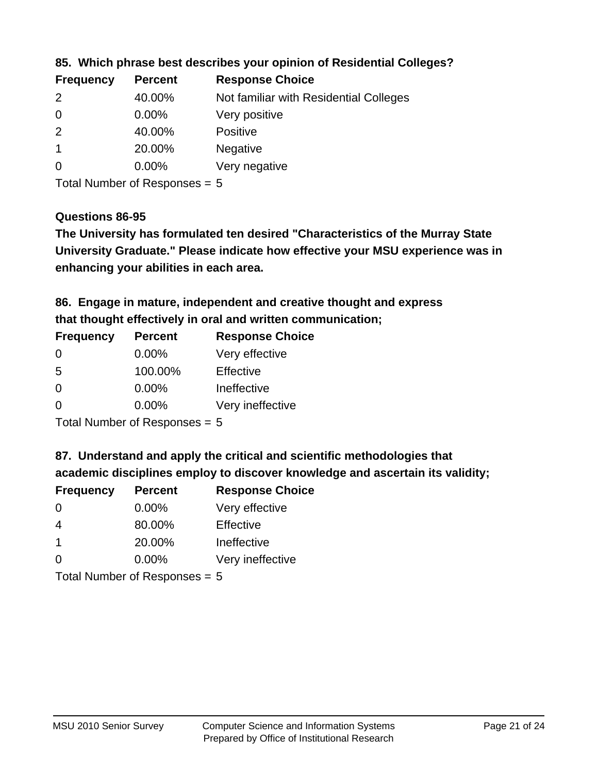| <b>Frequency</b> | <b>Percent</b> | <b>Response Choice</b>                 |
|------------------|----------------|----------------------------------------|
| $\mathcal{P}$    | 40.00%         | Not familiar with Residential Colleges |
| $\overline{0}$   | $0.00\%$       | Very positive                          |
| -2               | 40.00%         | <b>Positive</b>                        |
|                  | 20.00%         | <b>Negative</b>                        |
| 0                | $0.00\%$       | Very negative                          |
|                  |                |                                        |

**85. Which phrase best describes your opinion of Residential Colleges?**

Total Number of Responses = 5

#### **Questions 86-95**

**University Graduate." Please indicate how effective your MSU experience was in The University has formulated ten desired "Characteristics of the Murray State enhancing your abilities in each area.**

**86. Engage in mature, independent and creative thought and express that thought effectively in oral and written communication;**

| <b>Frequency</b> | <b>Percent</b> | <b>Response Choice</b> |
|------------------|----------------|------------------------|
| $\Omega$         | 0.00%          | Very effective         |
| .5               | 100.00%        | Effective              |
| $\Omega$         | 0.00%          | Ineffective            |
| ∩                | $0.00\%$       | Very ineffective       |

Total Number of Responses = 5

**87. Understand and apply the critical and scientific methodologies that** 

**academic disciplines employ to discover knowledge and ascertain its validity;**

| <b>Frequency</b> | <b>Percent</b>                                 | <b>Response Choice</b> |
|------------------|------------------------------------------------|------------------------|
| 0                | 0.00%                                          | Very effective         |
| 4                | 80.00%                                         | Effective              |
| $\mathbf 1$      | 20.00%                                         | Ineffective            |
| $\Omega$         | 0.00%                                          | Very ineffective       |
|                  | $T$ at all Message and $R$ are a second $\sim$ |                        |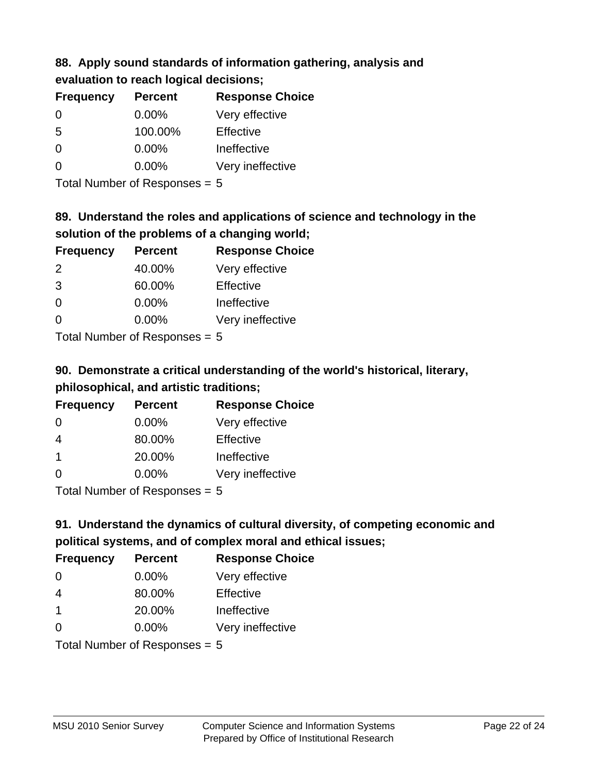# **88. Apply sound standards of information gathering, analysis and**

| evaluation to reach logical decisions; |  |
|----------------------------------------|--|
|----------------------------------------|--|

| <b>Percent</b> |
|----------------|
| $0.00\%$       |
| 100.00%        |
| $0.00\%$       |
| $0.00\%$       |
|                |

Total Number of Responses = 5

# **89. Understand the roles and applications of science and technology in the solution of the problems of a changing world;**

| <b>Frequency</b> | <b>Percent</b> | <b>Response Choice</b> |
|------------------|----------------|------------------------|
| 2                | 40.00%         | Very effective         |
| 3                | 60.00%         | Effective              |
| $\Omega$         | 0.00%          | Ineffective            |
| $\Omega$         | 0.00%          | Very ineffective       |
| _                |                |                        |

Total Number of Responses = 5

# **90. Demonstrate a critical understanding of the world's historical, literary, philosophical, and artistic traditions;**

| <b>Frequency</b> | <b>Percent</b> | <b>Response Choice</b> |
|------------------|----------------|------------------------|
| 0                | 0.00%          | Very effective         |
| 4                | 80.00%         | Effective              |
| -1               | 20.00%         | Ineffective            |
| ∩                | 0.00%          | Very ineffective       |
|                  |                |                        |

Total Number of Responses = 5

# **91. Understand the dynamics of cultural diversity, of competing economic and political systems, and of complex moral and ethical issues;**

| <b>Frequency</b>        | <b>Percent</b>                  | <b>Response Choice</b> |
|-------------------------|---------------------------------|------------------------|
| $\Omega$                | $0.00\%$                        | Very effective         |
| $\overline{4}$          | 80.00%                          | Effective              |
| $\overline{\mathbf{1}}$ | 20.00%                          | Ineffective            |
| $\Omega$                | 0.00%                           | Very ineffective       |
|                         | Total Number of Responses $= 5$ |                        |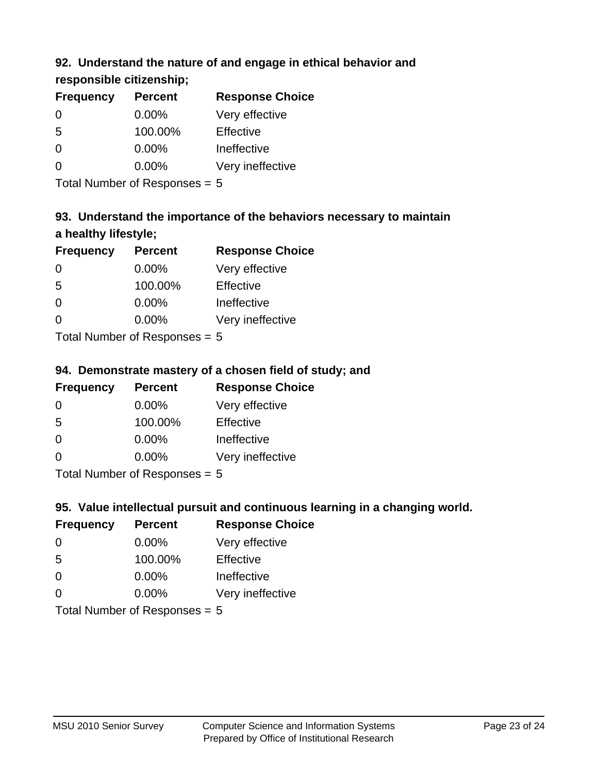## **92. Understand the nature of and engage in ethical behavior and**

## **responsible citizenship;**

| <b>Frequency</b> | <b>Percent</b> | <b>Response Choice</b> |
|------------------|----------------|------------------------|
| $\Omega$         | $0.00\%$       | Very effective         |
| -5               | 100.00%        | Effective              |
| 0                | $0.00\%$       | Ineffective            |
| O                | $0.00\%$       | Very ineffective       |
|                  |                |                        |

Total Number of Responses = 5

# **93. Understand the importance of the behaviors necessary to maintain a healthy lifestyle;**

| <b>Frequency</b> | <b>Percent</b> | <b>Response Choice</b> |
|------------------|----------------|------------------------|
| $\Omega$         | 0.00%          | Very effective         |
| 5                | 100.00%        | Effective              |
| $\Omega$         | 0.00%          | Ineffective            |
| $\Omega$         | 0.00%          | Very ineffective       |
|                  |                |                        |

Total Number of Responses = 5

## **94. Demonstrate mastery of a chosen field of study; and**

| <b>Frequency</b> | <b>Percent</b> | <b>Response Choice</b> |
|------------------|----------------|------------------------|
| ∩                | $0.00\%$       | Very effective         |
| .5               | 100.00%        | Effective              |
| 0                | $0.00\%$       | Ineffective            |
| ∩                | $0.00\%$       | Very ineffective       |
|                  |                |                        |

Total Number of Responses = 5

## **95. Value intellectual pursuit and continuous learning in a changing world.**

| <b>Frequency</b> | <b>Percent</b> | <b>Response Choice</b> |
|------------------|----------------|------------------------|
| $\Omega$         | 0.00%          | Very effective         |
| -5               | 100.00%        | Effective              |
| $\Omega$         | 0.00%          | Ineffective            |
| 0                | 0.00%          | Very ineffective       |
|                  |                |                        |